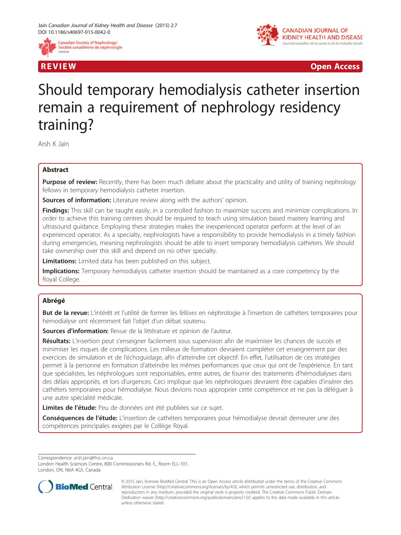





R EVI EW Open Access

# Should temporary hemodialysis catheter insertion remain a requirement of nephrology residency training?

Arsh K Jain

# Abstract

Purpose of review: Recently, there has been much debate about the practicality and utility of training nephrology fellows in temporary hemodialysis catheter insertion.

Sources of information: Literature review along with the authors' opinion.

Findings: This skill can be taught easily, in a controlled fashion to maximize success and minimize complications. In order to achieve this training centres should be required to teach using simulation based mastery learning and ultrasound guidance. Employing these strategies makes the inexperienced operator perform at the level of an experienced operator. As a specialty, nephrologists have a responsibility to provide hemodialysis in a timely fashion during emergencies, meaning nephrologists should be able to insert temporary hemodialysis catheters. We should take ownership over this skill and depend on no other specialty.

Limitations: Limited data has been published on this subject.

**Implications:** Temporary hemodialysis catheter insertion should be maintained as a core competency by the Royal College.

# Abrégé

But de la revue: L'intérêt et l'utilité de former les fellows en néphrologie à l'insertion de cathéters temporaires pour hémodialyse ont récemment fait l'objet d'un débat soutenu.

Sources d'information: Revue de la littérature et opinion de l'auteur.

Résultats: L'insertion peut s'enseigner facilement sous supervision afin de maximiser les chances de succès et minimiser les risques de complications. Les milieux de formation devraient compléter cet enseignement par des exercices de simulation et de l'échoguidage, afin d'atteindre cet objectif. En effet, l'utilisation de ces stratégies permet à la personne en formation d'atteindre les mêmes performances que ceux qui ont de l'expérience. En tant que spécialistes, les néphrologues sont responsables, entre autres, de fournir des traitements d'hémodialyses dans des délais appropriés, et lors d'urgences. Ceci implique que les néphrologues devraient être capables d'insérer des cathéters temporaires pour hémodialyse. Nous devions nous approprier cette compétence et ne pas la déléguer à une autre spécialité médicale.

Limites de l'étude: Peu de données ont été publiées sur ce sujet.

Conséquences de l'étude: L'insertion de cathéters temporaires pour hémodialyse devrait demeurer une des compétences principales exigées par le Collège Royal.

Correspondence: [arsh.jain@lhsc.on.ca](mailto:arsh.jain@lhsc.on.ca)

London Health Sciences Centre, 800 Commissioners Rd. E., Room ELL-101, London, ON, N6A 4G5, Canada



© 2015 Jain; licensee BioMed Central. This is an Open Access article distributed under the terms of the Creative Commons Attribution License (<http://creativecommons.org/licenses/by/4.0>), which permits unrestricted use, distribution, and reproduction in any medium, provided the original work is properly credited. The Creative Commons Public Domain Dedication waiver [\(http://creativecommons.org/publicdomain/zero/1.0/](http://creativecommons.org/publicdomain/zero/1.0/)) applies to the data made available in this article, unless otherwise stated.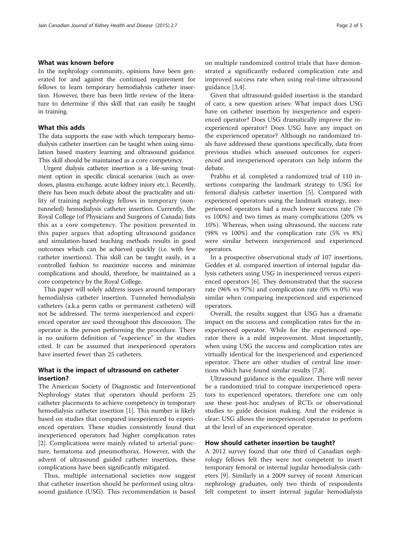#### What was known before

In the nephrology community, opinions have been generated for and against the continued requirement for fellows to learn temporary hemodialysis catheter insertion. However, there has been little review of the literature to determine if this skill that can easily be taught in training.

## What this adds

The data supports the ease with which temporary hemodialysis catheter insertion can be taught when using simulation based mastery learning and ultrasound guidance. This skill should be maintained as a core competency.

Urgent dialysis catheter insertion is a life-saving treatment option in specific clinical scenarios (such as overdoses, plasma exchange, acute kidney injury etc.). Recently, there has been much debate about the practicality and utility of training nephrology fellows in temporary (nontunneled) hemodialysis catheter insertion. Currently, the Royal College (of Physicians and Surgeons of Canada) lists this as a core competency. The position presented in this paper argues that adopting ultrasound guidance and simulation-based teaching methods results in good outcomes which can be achieved quickly (i.e. with few catheter insertions). This skill can be taught easily, in a controlled fashion to maximize success and minimize complications and should, therefore, be maintained as a core competency by the Royal College.

This paper will solely address issues around temporary hemodialysis catheter insertion. Tunneled hemodialysis catheters (a.k.a perm caths or permanent catheters) will not be addressed. The terms inexperienced and experienced operator are used throughout this discussion. The operator is the person performing the procedure. There is no uniform definition of "experience" in the studies cited. It can be assumed that inexperienced operators have inserted fewer than 25 catheters.

# What is the impact of ultrasound on catheter insertion?

The American Society of Diagnostic and Interventional Nephrology states that operators should perform 25 catheter placements to achieve competency in temporary hemodialysis catheter insertion [\[1](#page-3-0)]. This number is likely based on studies that compared inexperienced to experienced operators. These studies consistently found that inexperienced operators had higher complication rates [[2\]](#page-3-0). Complications were mainly related to arterial puncture, hematoma and pneumothorax. However, with the advent of ultrasound guided catheter insertion, these complications have been significantly mitigated.

Thus, multiple international societies now suggest that catheter insertion should be performed using ultrasound guidance (USG). This recommendation is based on multiple randomized control trials that have demonstrated a significantly reduced complication rate and improved success rate when using real-time ultrasound guidance [[3,4](#page-3-0)].

Given that ultrasound-guided insertion is the standard of care, a new question arises: What impact does USG have on catheter insertion by inexperience and experienced operator? Does USG dramatically improve the inexperienced operator? Does USG have any impact on the experienced operator? Although no randomized trials have addressed these questions specifically, data from previous studies which assessed outcomes for experienced and inexperienced operators can help inform the debate.

Prabhu et al. completed a randomized trial of 110 insertions comparing the landmark strategy to USG for femoral dialysis catheter insertion [[5](#page-3-0)]. Compared with experienced operators using the landmark strategy, inexperienced operators had a much lower success rate (76 vs 100%) and two times as many complications (20% vs 10%). Whereas, when using ultrasound, the success rate (98% vs 100%) and the complication rate (5% vs 8%) were similar between inexperienced and experienced operators.

In a prospective observational study of 107 insertions, Geddes et al. compared insertion of internal jugular dialysis catheters using USG in inexperienced versus experienced operators [[6\]](#page-3-0). They demonstrated that the success rate (96% vs 97%) and complication rate (0% vs 0%) was similar when comparing inexperienced and experienced operators.

Overall, the results suggest that USG has a dramatic impact on the success and complication rates for the inexperienced operator. While for the experienced operator there is a mild improvement. Most importantly, when using USG the success and complication rates are virtually identical for the inexperienced and experienced operator. There are other studies of central line insertions which have found similar results [[7,8\]](#page-3-0).

Ultrasound guidance is the equalizer. There will never be a randomized trial to compare inexperienced operators to experienced operators, therefore one can only use these post-hoc analyses of RCTs or observational studies to guide decision making. And the evidence is clear: USG allows the inexperienced operator to perform at the level of an experienced operator.

# How should catheter insertion be taught?

A 2012 survey found that one third of Canadian nephrology fellows felt they were not competent to insert temporary femoral or internal jugular hemodialysis catheters [\[9\]](#page-3-0). Similarly in a 2009 survey of recent American nephrology graduates, only two thirds of respondents felt competent to insert internal jugular hemodialysis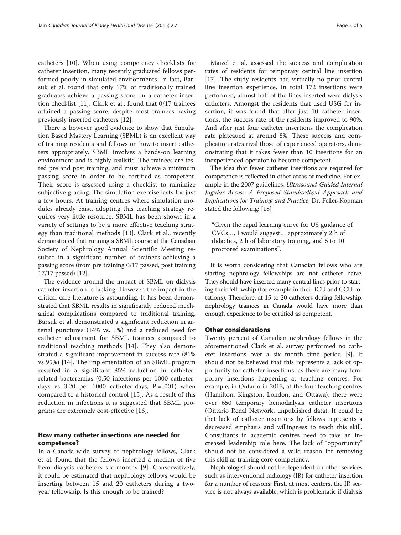catheters [[10](#page-3-0)]. When using competency checklists for catheter insertion, many recently graduated fellows performed poorly in simulated environments. In fact, Barsuk et al. found that only 17% of traditionally trained graduates achieve a passing score on a catheter insertion checklist [\[11](#page-3-0)]. Clark et al., found that 0/17 trainees attained a passing score, despite most trainees having previously inserted catheters [\[12](#page-3-0)].

There is however good evidence to show that Simulation Based Mastery Learning (SBML) is an excellent way of training residents and fellows on how to insert catheters appropriately. SBML involves a hands-on learning environment and is highly realistic. The trainees are tested pre and post training, and must achieve a minimum passing score in order to be certified as competent. Their score is assessed using a checklist to minimize subjective grading. The simulation exercise lasts for just a few hours. At training centres where simulation modules already exist, adopting this teaching strategy requires very little resource. SBML has been shown in a variety of settings to be a more effective teaching strategy than traditional methods [[13\]](#page-4-0). Clark et al., recently demonstrated that running a SBML course at the Canadian Society of Nephrology Annual Scientific Meeting resulted in a significant number of trainees achieving a passing score (from pre training 0/17 passed, post training 17/17 passed) [\[12\]](#page-3-0).

The evidence around the impact of SBML on dialysis catheter insertion is lacking. However, the impact in the critical care literature is astounding. It has been demonstrated that SBML results in significantly reduced mechanical complications compared to traditional training. Barsuk et al. demonstrated a significant reduction in arterial punctures (14% vs. 1%) and a reduced need for catheter adjustment for SBML trainees compared to traditional teaching methods [[14\]](#page-4-0). They also demonstrated a significant improvement in success rate (81% vs 95%) [[14\]](#page-4-0). The implementation of an SBML program resulted in a significant 85% reduction in catheterrelated bacteremias (0.50 infections per 1000 catheterdays vs 3.20 per 1000 catheter-days,  $P = .001$ ) when compared to a historical control [[15\]](#page-4-0). As a result of this reduction in infections it is suggested that SBML programs are extremely cost-effective [\[16](#page-4-0)].

# How many catheter insertions are needed for competence?

In a Canada-wide survey of nephrology fellows, Clark et al. found that the fellows inserted a median of five hemodialysis catheters six months [\[9](#page-3-0)]. Conservatively, it could be estimated that nephrology fellows would be inserting between 15 and 20 catheters during a twoyear fellowship. Is this enough to be trained?

Maizel et al. assessed the success and complication rates of residents for temporary central line insertion [[17\]](#page-4-0). The study residents had virtually no prior central line insertion experience. In total 172 insertions were performed, almost half of the lines inserted were dialysis catheters. Amongst the residents that used USG for insertion, it was found that after just 10 catheter insertions, the success rate of the residents improved to 90%. And after just four catheter insertions the complication rate plateaued at around 8%. These success and complication rates rival those of experienced operators, demonstrating that it takes fewer than 10 insertions for an inexperienced operator to become competent.

The idea that fewer catheter insertions are required for competence is reflected in other areas of medicine. For example in the 2007 guidelines, Ultrasound-Guided Internal Jugular Access: A Proposed Standardized Approach and Implications for Training and Practice, Dr. Feller-Kopman stated the following: [[18\]](#page-4-0)

"Given the rapid learning curve for US guidance of CVCs…, I would suggest… approximately 2 h of didactics, 2 h of laboratory training, and 5 to 10 proctored examinations".

It is worth considering that Canadian fellows who are starting nephrology fellowships are not catheter naïve. They should have inserted many central lines prior to starting their fellowship (for example in their ICU and CCU rotations). Therefore, at 15 to 20 catheters during fellowship, nephrology trainees in Canada would have more than enough experience to be certified as competent.

# Other considerations

Twenty percent of Canadian nephrology fellows in the aforementioned Clark et al. survey performed no catheter insertions over a six month time period [[9\]](#page-3-0). It should not be believed that this represents a lack of opportunity for catheter insertions, as there are many temporary insertions happening at teaching centres. For example, in Ontario in 2013, at the four teaching centres (Hamilton, Kingston, London, and Ottawa), there were over 650 temporary hemodialysis catheter insertions (Ontario Renal Network, unpublished data). It could be that lack of catheter insertions by fellows represents a decreased emphasis and willingness to teach this skill. Consultants in academic centres need to take an increased leadership role here. The lack of "opportunity" should not be considered a valid reason for removing this skill as training core competency.

Nephrologist should not be dependent on other services such as interventional radiology (IR) for catheter insertion for a number of reasons: First, at most centers, the IR service is not always available, which is problematic if dialysis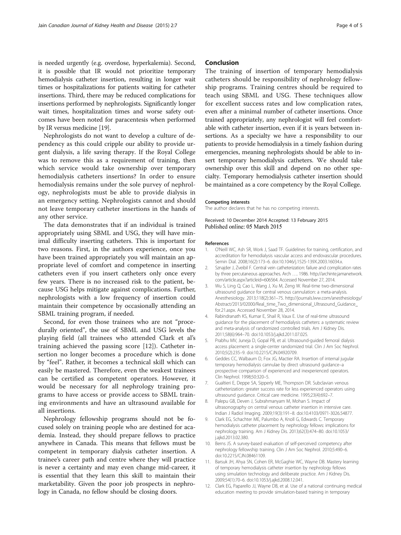<span id="page-3-0"></span>is needed urgently (e.g. overdose, hyperkalemia). Second, it is possible that IR would not prioritize temporary hemodialysis catheter insertion, resulting in longer wait times or hospitalizations for patients waiting for catheter insertions. Third, there may be reduced complications for insertions performed by nephrologists. Significantly longer wait times, hospitalization times and worse safety outcomes have been noted for paracentesis when performed by IR versus medicine [\[19\]](#page-4-0).

Nephrologists do not want to develop a culture of dependency as this could cripple our ability to provide urgent dialysis, a life saving therapy. If the Royal College was to remove this as a requirement of training, then which service would take ownership over temporary hemodialysis catheters insertions? In order to ensure hemodialysis remains under the sole purvey of nephrology, nephrologists must be able to provide dialysis in an emergency setting. Nephrologists cannot and should not leave temporary catheter insertions in the hands of any other service.

The data demonstrates that if an individual is trained appropriately using SBML and USG, they will have minimal difficulty inserting catheters. This is important for two reasons. First, in the authors experience, once you have been trained appropriately you will maintain an appropriate level of comfort and competence in inserting catheters even if you insert catheters only once every few years. There is no increased risk to the patient, because USG helps mitigate against complications. Further, nephrologists with a low frequency of insertion could maintain their competence by occasionally attending an SBML training program, if needed.

Second, for even those trainees who are not "procedurally oriented", the use of SBML and USG levels the playing field (all trainees who attended Clark et al's training achieved the passing score [12]). Catheter insertion no longer becomes a procedure which is done by "feel". Rather, it becomes a technical skill which can easily be mastered. Therefore, even the weakest trainees can be certified as competent operators. However, it would be necessary for all nephrology training programs to have access or provide access to SBML training environments and have an ultrasound available for all insertions.

Nephrology fellowship programs should not be focused solely on training people who are destined for academia. Instead, they should prepare fellows to practice anywhere in Canada. This means that fellows must be competent in temporary dialysis catheter insertion. A trainee's career path and centre where they will practice is never a certainty and may even change mid-career, it is essential that they learn this skill to maintain their marketability. Given the poor job prospects in nephrology in Canada, no fellow should be closing doors.

### Conclusion

The training of insertion of temporary hemodialysis catheters should be responsibility of nephrology fellowship programs. Training centres should be required to teach using SBML and USG. These techniques allow for excellent success rates and low complication rates, even after a minimal number of catheter insertions. Once trained appropriately, any nephrologist will feel comfortable with catheter insertion, even if it is years between insertions. As a specialty we have a responsibility to our patients to provide hemodialysis in a timely fashion during emergencies, meaning nephrologists should be able to insert temporary hemodialysis catheters. We should take ownership over this skill and depend on no other specialty. Temporary hemodialysis catheter insertion should be maintained as a core competency by the Royal College.

#### Competing interests

The author declares that he has no competing interests.

Received: 10 December 2014 Accepted: 13 February 2015 Published online: 05 March 2015

#### References

- 1. O'Neill WC, Ash SR, Work J, Saad TF. Guidelines for training, certification, and accreditation for hemodialysis vascular access and endovascular procedures. Semin Dial. 2008;16(2):173–6. doi:10.1046/j.1525-139X.2003.16034.x.
- 2. Sznajder J, Zveibil F. Central vein catheterization: failure and complication rates by three percutaneous approaches. Arch …. 1986. [http://archinte.jamanetwork.](http://archinte.jamanetwork.com/article.aspx?articleid=606564) [com/article.aspx?articleid=606564](http://archinte.jamanetwork.com/article.aspx?articleid=606564). Accessed November 27, 2014.
- 3. Wu S, Ling Q, Cao L, Wang J, Xu M, Zeng W. Real-time two-dimensional ultrasound guidance for central venous cannulation: a meta-analysis. Anesthesiology. 2013;118(2):361–75. [http://journals.lww.com/anesthesiology/](http://journals.lww.com/anesthesiology/Abstract/2013/02000/Real_time_Two_dimensional_Ultrasound_Guidance_for.21.aspx) [Abstract/2013/02000/Real\\_time\\_Two\\_dimensional\\_Ultrasound\\_Guidance\\_](http://journals.lww.com/anesthesiology/Abstract/2013/02000/Real_time_Two_dimensional_Ultrasound_Guidance_for.21.aspx) [for.21.aspx](http://journals.lww.com/anesthesiology/Abstract/2013/02000/Real_time_Two_dimensional_Ultrasound_Guidance_for.21.aspx). Accessed November 28, 2014.
- 4. Rabindranath KS, Kumar E, Shail R, Vaux E. Use of real-time ultrasound guidance for the placement of hemodialysis catheters: a systematic review and meta-analysis of randomized controlled trials. Am J Kidney Dis. 2011;58(6):964–70. doi:10.1053/j.ajkd.2011.07.025.
- 5. Prabhu MV, Juneja D, Gopal PB, et al. Ultrasound-guided femoral dialysis access placement: a single-center randomized trial. Clin J Am Soc Nephrol. 2010;5(2):235–9. doi:10.2215/CJN.04920709.
- 6. Geddes CC, Walbaum D, Fox JG, Mactier RA. Insertion of internal jugular temporary hemodialysis cannulae by direct ultrasound guidance–a prospective comparison of experienced and inexperienced operators. Clin Nephrol. 1998;50:320–5.
- 7. Gualtieri E, Deppe SA, Sipperly ME, Thompson DR. Subclavian venous catheterization: greater success rate for less experienced operators using ultrasound guidance. Critical care medicine. 1995;23(4):692–7.
- 8. Palepu GB, Deven J, Subrahmanyam M, Mohan S. Impact of ultrasonography on central venous catheter insertion in intensive care. Indian J Radiol Imaging. 2009;19(3):191–8. doi:10.4103/0971-3026.54877.
- 9. Clark EG, Schachter ME, Palumbo A, Knoll G, Edwards C. Temporary hemodialysis catheter placement by nephrology fellows: implications for nephrology training. Am J Kidney Dis. 2013;62(3):474–80. doi:10.1053/ j.ajkd.2013.02.380.
- 10. Berns JS. A survey-based evaluation of self-perceived competency after nephrology fellowship training. Clin J Am Soc Nephrol. 2010;5:490–6. doi:10.2215/CJN.08461109.
- 11. Barsuk JH, Ahya SN, Cohen ER, McGaghie WC, Wayne DB. Mastery learning of temporary hemodialysis catheter insertion by nephrology fellows using simulation technology and deliberate practice. Am J Kidney Dis. 2009;54(1):70–6. doi:10.1053/j.ajkd.2008.12.041.
- 12. Clark EG, Paparello JJ, Wayne DB, et al. Use of a national continuing medical education meeting to provide simulation-based training in temporary